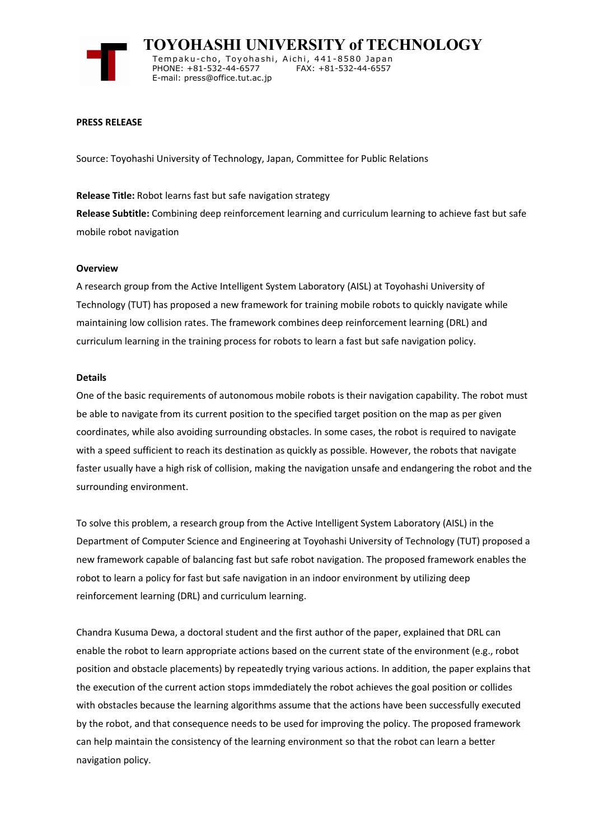

 **TOYOHASHI UNIVERSITY of TECHNOLOGY** Tempaku-cho, Toyohashi, Aichi, 441-8580 Japan<br>PHONE: +81-532-44-6577 FAX: +81-532-44-6557 PHONE: +81-532-44-6577 E-mail: press@office.tut.ac.jp

#### **PRESS RELEASE**

Source: Toyohashi University of Technology, Japan, Committee for Public Relations

# **Release Title:** Robot learns fast but safe navigation strategy

**Release Subtitle:** Combining deep reinforcement learning and curriculum learning to achieve fast but safe mobile robot navigation

## **Overview**

A research group from the Active Intelligent System Laboratory (AISL) at Toyohashi University of Technology (TUT) has proposed a new framework for training mobile robots to quickly navigate while maintaining low collision rates. The framework combines deep reinforcement learning (DRL) and curriculum learning in the training process for robots to learn a fast but safe navigation policy.

#### **Details**

One of the basic requirements of autonomous mobile robots is their navigation capability. The robot must be able to navigate from its current position to the specified target position on the map as per given coordinates, while also avoiding surrounding obstacles. In some cases, the robot is required to navigate with a speed sufficient to reach its destination as quickly as possible. However, the robots that navigate faster usually have a high risk of collision, making the navigation unsafe and endangering the robot and the surrounding environment.

To solve this problem, a research group from the Active Intelligent System Laboratory (AISL) in the Department of Computer Science and Engineering at Toyohashi University of Technology (TUT) proposed a new framework capable of balancing fast but safe robot navigation. The proposed framework enables the robot to learn a policy for fast but safe navigation in an indoor environment by utilizing deep reinforcement learning (DRL) and curriculum learning.

Chandra Kusuma Dewa, a doctoral student and the first author of the paper, explained that DRL can enable the robot to learn appropriate actions based on the current state of the environment (e.g., robot position and obstacle placements) by repeatedly trying various actions. In addition, the paper explains that the execution of the current action stops immdediately the robot achieves the goal position or collides with obstacles because the learning algorithms assume that the actions have been successfully executed by the robot, and that consequence needs to be used for improving the policy. The proposed framework can help maintain the consistency of the learning environment so that the robot can learn a better navigation policy.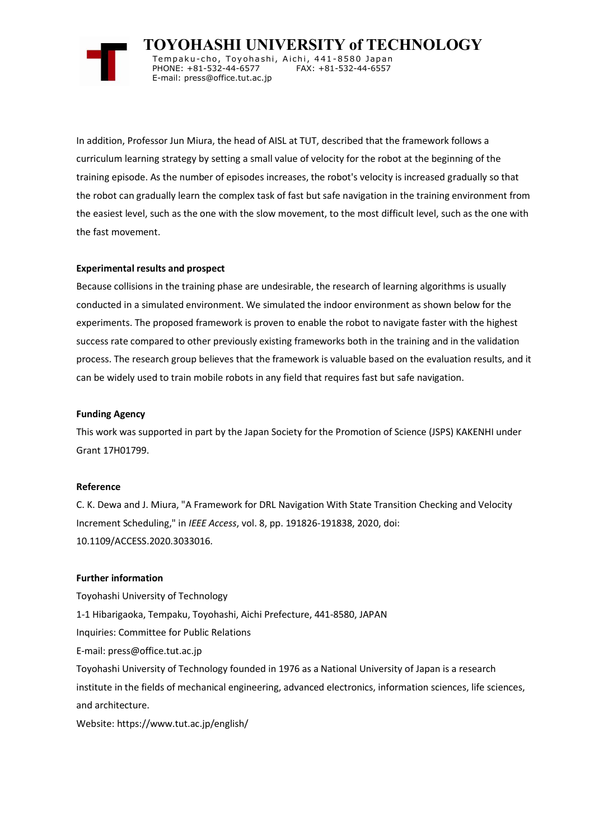

 **TOYOHASHI UNIVERSITY of TECHNOLOGY** Tempaku-cho, Toyohashi, Aichi, 441-8580 Japan<br>PHONE: +81-532-44-6577 FAX: +81-532-44-6557 PHONE: +81-532-44-6577 E-mail: press@office.tut.ac.jp

In addition, Professor Jun Miura, the head of AISL at TUT, described that the framework follows a curriculum learning strategy by setting a small value of velocity for the robot at the beginning of the training episode. As the number of episodes increases, the robot's velocity is increased gradually so that the robot can gradually learn the complex task of fast but safe navigation in the training environment from the easiest level, such as the one with the slow movement, to the most difficult level, such as the one with the fast movement.

## **Experimental results and prospect**

Because collisions in the training phase are undesirable, the research of learning algorithms is usually conducted in a simulated environment. We simulated the indoor environment as shown below for the experiments. The proposed framework is proven to enable the robot to navigate faster with the highest success rate compared to other previously existing frameworks both in the training and in the validation process. The research group believes that the framework is valuable based on the evaluation results, and it can be widely used to train mobile robots in any field that requires fast but safe navigation.

## **Funding Agency**

This work was supported in part by the Japan Society for the Promotion of Science (JSPS) KAKENHI under Grant 17H01799.

## **Reference**

C. K. Dewa and J. Miura, "A Framework for DRL Navigation With State Transition Checking and Velocity Increment Scheduling," in *IEEE Access*, vol. 8, pp. 191826-191838, 2020, doi: 10.1109/ACCESS.2020.3033016.

## **Further information**

Toyohashi University of Technology 1-1 Hibarigaoka, Tempaku, Toyohashi, Aichi Prefecture, 441-8580, JAPAN Inquiries: Committee for Public Relations E-mail: press@office.tut.ac.jp Toyohashi University of Technology founded in 1976 as a National University of Japan is a research institute in the fields of mechanical engineering, advanced electronics, information sciences, life sciences, and architecture. Website: https://www.tut.ac.jp/english/